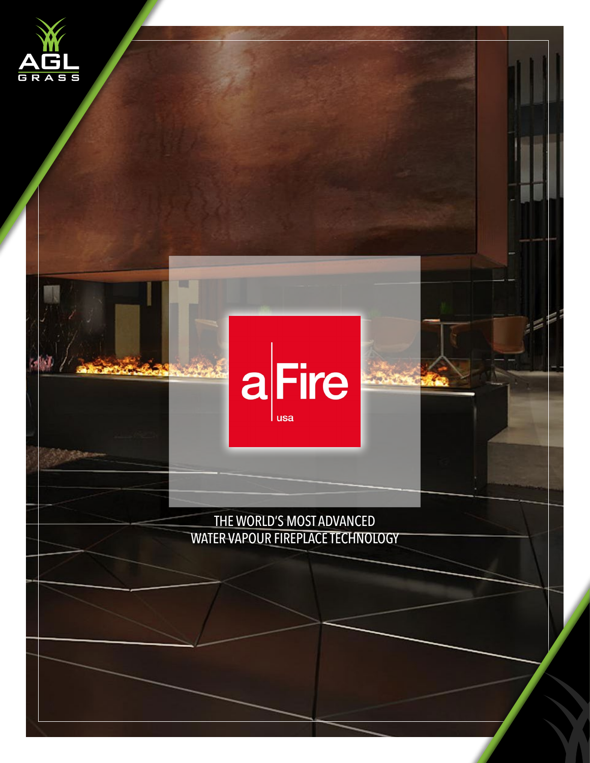